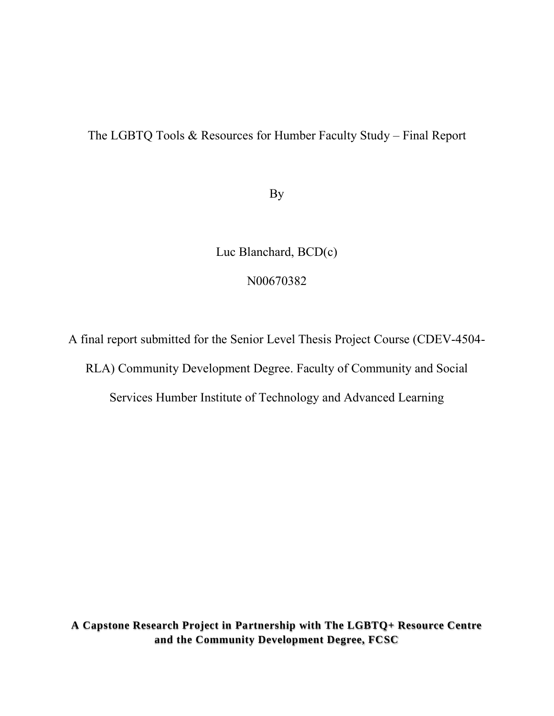# The LGBTQ Tools & Resources for Humber Faculty Study – Final Report

By

Luc Blanchard, BCD(c)

N00670382

A final report submitted for the Senior Level Thesis Project Course (CDEV-4504- RLA) Community Development Degree. Faculty of Community and Social

Services Humber Institute of Technology and Advanced Learning

**A Capstone Research Project in Partnership with The LGBTQ+ Resource Centre and the Community Development Degree, FCSC**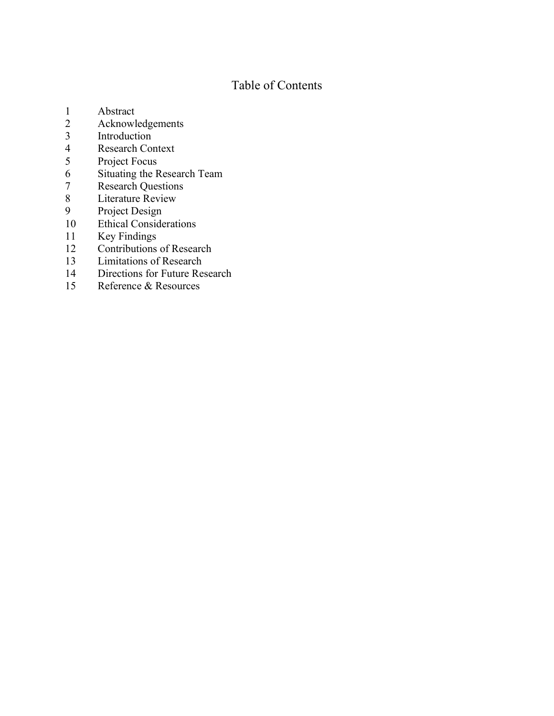# Table of Contents

- 1 Abstract<br>2 Acknowle
- 2 Acknowledgements<br>3 Introduction
- 3 Introduction<br>4 Research Cor
- 4 Research Context<br>5 Project Focus
- Project Focus
- 6 Situating the Research Team<br>
7 Research Questions
- 7 Research Questions<br>8 Literature Review
- 8 Literature Review<br>9 Project Design
- Project Design
- 10 Ethical Considerations<br>11 Key Findings
- 11 Key Findings<br>12 Contributions
- 12 Contributions of Research<br>13 Limitations of Research
- Limitations of Research
- 14 Directions for Future Research<br>15 Reference & Resources
- Reference & Resources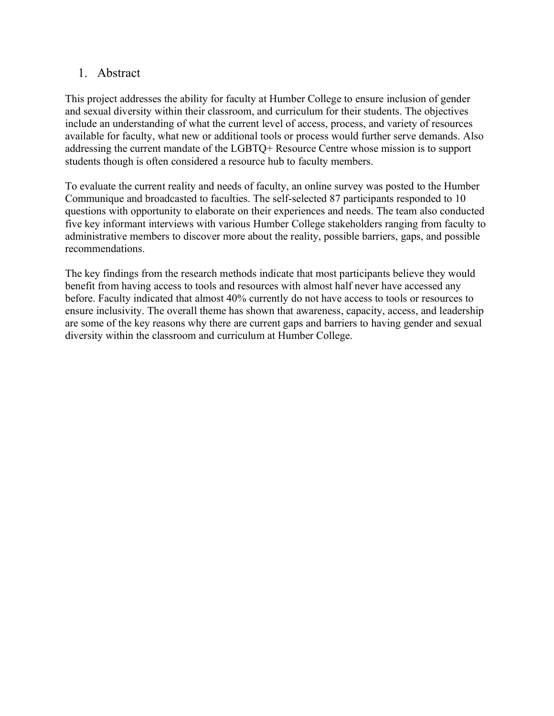## 1. Abstract

This project addresses the ability for faculty at Humber College to ensure inclusion of gender and sexual diversity within their classroom, and curriculum for their students. The objectives include an understanding of what the current level of access, process, and variety of resources available for faculty, what new or additional tools or process would further serve demands. Also addressing the current mandate of the LGBTQ+ Resource Centre whose mission is to support students though is often considered a resource hub to faculty members.

To evaluate the current reality and needs of faculty, an online survey was posted to the Humber Communique and broadcasted to faculties. The self-selected 87 participants responded to 10 questions with opportunity to elaborate on their experiences and needs. The team also conducted five key informant interviews with various Humber College stakeholders ranging from faculty to administrative members to discover more about the reality, possible barriers, gaps, and possible recommendations.

The key findings from the research methods indicate that most participants believe they would benefit from having access to tools and resources with almost half never have accessed any before. Faculty indicated that almost 40% currently do not have access to tools or resources to ensure inclusivity. The overall theme has shown that awareness, capacity, access, and leadership are some of the key reasons why there are current gaps and barriers to having gender and sexual diversity within the classroom and curriculum at Humber College.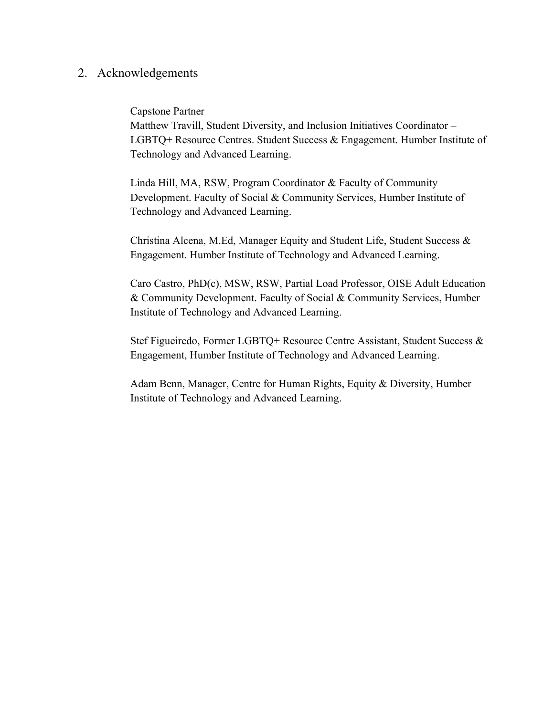### 2. Acknowledgements

#### Capstone Partner

Matthew Travill, Student Diversity, and Inclusion Initiatives Coordinator – LGBTQ+ Resource Centres. Student Success & Engagement. Humber Institute of Technology and Advanced Learning.

Linda Hill, MA, RSW, Program Coordinator & Faculty of Community Development. Faculty of Social & Community Services, Humber Institute of Technology and Advanced Learning.

Christina Alcena, M.Ed, Manager Equity and Student Life, Student Success & Engagement. Humber Institute of Technology and Advanced Learning.

Caro Castro, PhD(c), MSW, RSW, Partial Load Professor, OISE Adult Education & Community Development. Faculty of Social & Community Services, Humber Institute of Technology and Advanced Learning.

Stef Figueiredo, Former LGBTQ+ Resource Centre Assistant, Student Success & Engagement, Humber Institute of Technology and Advanced Learning.

Adam Benn, Manager, Centre for Human Rights, Equity & Diversity, Humber Institute of Technology and Advanced Learning.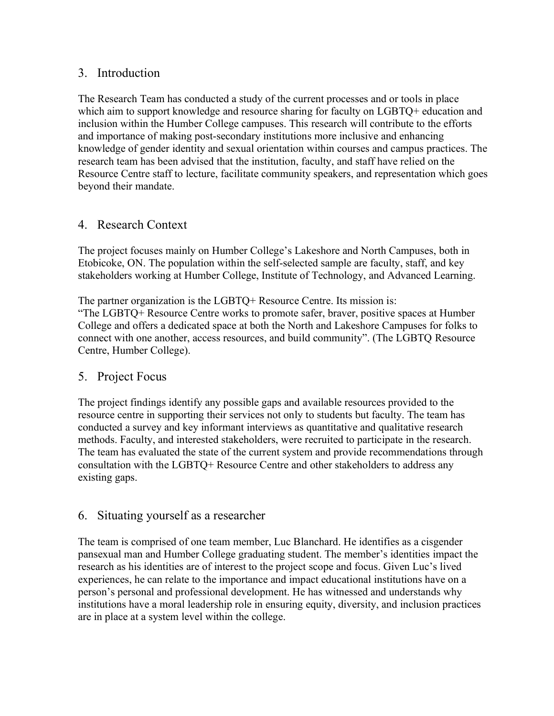## 3. Introduction

The Research Team has conducted a study of the current processes and or tools in place which aim to support knowledge and resource sharing for faculty on LGBTO+ education and inclusion within the Humber College campuses. This research will contribute to the efforts and importance of making post-secondary institutions more inclusive and enhancing knowledge of gender identity and sexual orientation within courses and campus practices. The research team has been advised that the institution, faculty, and staff have relied on the Resource Centre staff to lecture, facilitate community speakers, and representation which goes beyond their mandate.

## 4. Research Context

The project focuses mainly on Humber College's Lakeshore and North Campuses, both in Etobicoke, ON. The population within the self-selected sample are faculty, staff, and key stakeholders working at Humber College, Institute of Technology, and Advanced Learning.

The partner organization is the LGBTQ+ Resource Centre. Its mission is:

"The LGBTQ+ Resource Centre works to promote safer, braver, positive spaces at Humber College and offers a dedicated space at both the North and Lakeshore Campuses for folks to connect with one another, access resources, and build community". (The LGBTQ Resource Centre, Humber College).

### 5. Project Focus

The project findings identify any possible gaps and available resources provided to the resource centre in supporting their services not only to students but faculty. The team has conducted a survey and key informant interviews as quantitative and qualitative research methods. Faculty, and interested stakeholders, were recruited to participate in the research. The team has evaluated the state of the current system and provide recommendations through consultation with the LGBTQ+ Resource Centre and other stakeholders to address any existing gaps.

## 6. Situating yourself as a researcher

The team is comprised of one team member, Luc Blanchard. He identifies as a cisgender pansexual man and Humber College graduating student. The member's identities impact the research as his identities are of interest to the project scope and focus. Given Luc's lived experiences, he can relate to the importance and impact educational institutions have on a person's personal and professional development. He has witnessed and understands why institutions have a moral leadership role in ensuring equity, diversity, and inclusion practices are in place at a system level within the college.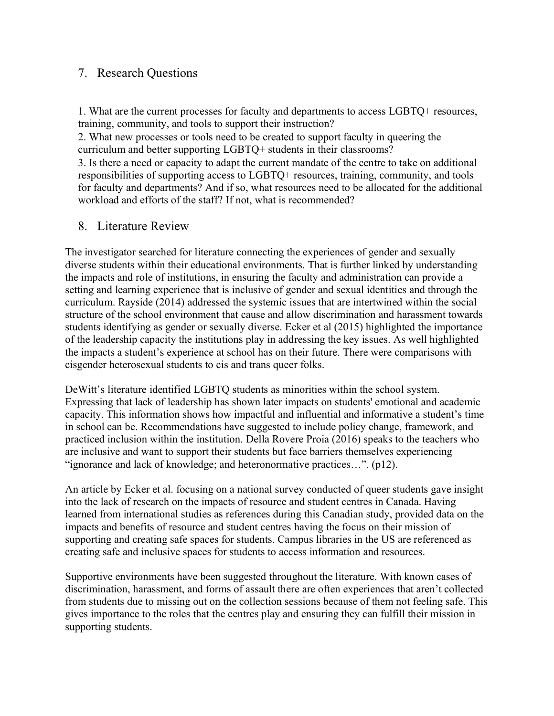## 7. Research Questions

1. What are the current processes for faculty and departments to access LGBTQ+ resources, training, community, and tools to support their instruction?

2. What new processes or tools need to be created to support faculty in queering the curriculum and better supporting LGBTQ+ students in their classrooms?

3. Is there a need or capacity to adapt the current mandate of the centre to take on additional responsibilities of supporting access to LGBTQ+ resources, training, community, and tools for faculty and departments? And if so, what resources need to be allocated for the additional workload and efforts of the staff? If not, what is recommended?

### 8. Literature Review

The investigator searched for literature connecting the experiences of gender and sexually diverse students within their educational environments. That is further linked by understanding the impacts and role of institutions, in ensuring the faculty and administration can provide a setting and learning experience that is inclusive of gender and sexual identities and through the curriculum. Rayside (2014) addressed the systemic issues that are intertwined within the social structure of the school environment that cause and allow discrimination and harassment towards students identifying as gender or sexually diverse. Ecker et al (2015) highlighted the importance of the leadership capacity the institutions play in addressing the key issues. As well highlighted the impacts a student's experience at school has on their future. There were comparisons with cisgender heterosexual students to cis and trans queer folks.

DeWitt's literature identified LGBTQ students as minorities within the school system. Expressing that lack of leadership has shown later impacts on students' emotional and academic capacity. This information shows how impactful and influential and informative a student's time in school can be. Recommendations have suggested to include policy change, framework, and practiced inclusion within the institution. Della Rovere Proia (2016) speaks to the teachers who are inclusive and want to support their students but face barriers themselves experiencing "ignorance and lack of knowledge; and heteronormative practices…". (p12).

An article by Ecker et al. focusing on a national survey conducted of queer students gave insight into the lack of research on the impacts of resource and student centres in Canada. Having learned from international studies as references during this Canadian study, provided data on the impacts and benefits of resource and student centres having the focus on their mission of supporting and creating safe spaces for students. Campus libraries in the US are referenced as creating safe and inclusive spaces for students to access information and resources.

Supportive environments have been suggested throughout the literature. With known cases of discrimination, harassment, and forms of assault there are often experiences that aren't collected from students due to missing out on the collection sessions because of them not feeling safe. This gives importance to the roles that the centres play and ensuring they can fulfill their mission in supporting students.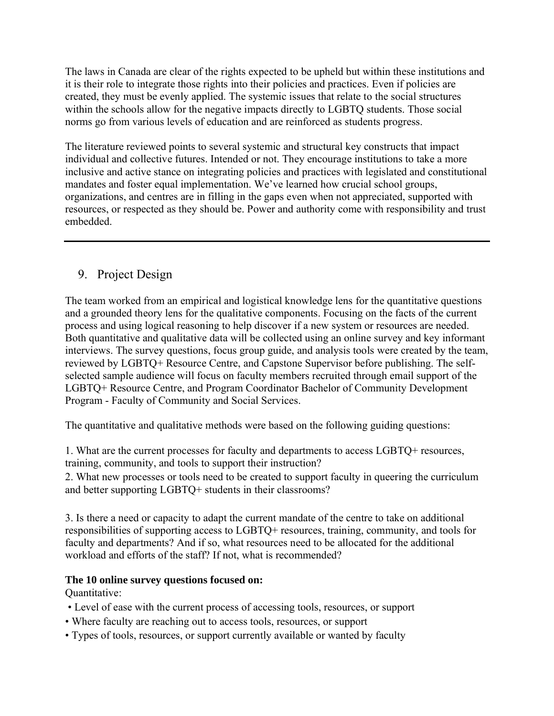The laws in Canada are clear of the rights expected to be upheld but within these institutions and it is their role to integrate those rights into their policies and practices. Even if policies are created, they must be evenly applied. The systemic issues that relate to the social structures within the schools allow for the negative impacts directly to LGBTQ students. Those social norms go from various levels of education and are reinforced as students progress.

The literature reviewed points to several systemic and structural key constructs that impact individual and collective futures. Intended or not. They encourage institutions to take a more inclusive and active stance on integrating policies and practices with legislated and constitutional mandates and foster equal implementation. We've learned how crucial school groups, organizations, and centres are in filling in the gaps even when not appreciated, supported with resources, or respected as they should be. Power and authority come with responsibility and trust embedded.

# 9. Project Design

The team worked from an empirical and logistical knowledge lens for the quantitative questions and a grounded theory lens for the qualitative components. Focusing on the facts of the current process and using logical reasoning to help discover if a new system or resources are needed. Both quantitative and qualitative data will be collected using an online survey and key informant interviews. The survey questions, focus group guide, and analysis tools were created by the team, reviewed by LGBTQ+ Resource Centre, and Capstone Supervisor before publishing. The selfselected sample audience will focus on faculty members recruited through email support of the LGBTQ+ Resource Centre, and Program Coordinator Bachelor of Community Development Program - Faculty of Community and Social Services.

The quantitative and qualitative methods were based on the following guiding questions:

1. What are the current processes for faculty and departments to access LGBTQ+ resources, training, community, and tools to support their instruction?

2. What new processes or tools need to be created to support faculty in queering the curriculum and better supporting LGBTQ+ students in their classrooms?

3. Is there a need or capacity to adapt the current mandate of the centre to take on additional responsibilities of supporting access to LGBTQ+ resources, training, community, and tools for faculty and departments? And if so, what resources need to be allocated for the additional workload and efforts of the staff? If not, what is recommended?

#### **The 10 online survey questions focused on:**

Quantitative:

- Level of ease with the current process of accessing tools, resources, or support
- Where faculty are reaching out to access tools, resources, or support
- Types of tools, resources, or support currently available or wanted by faculty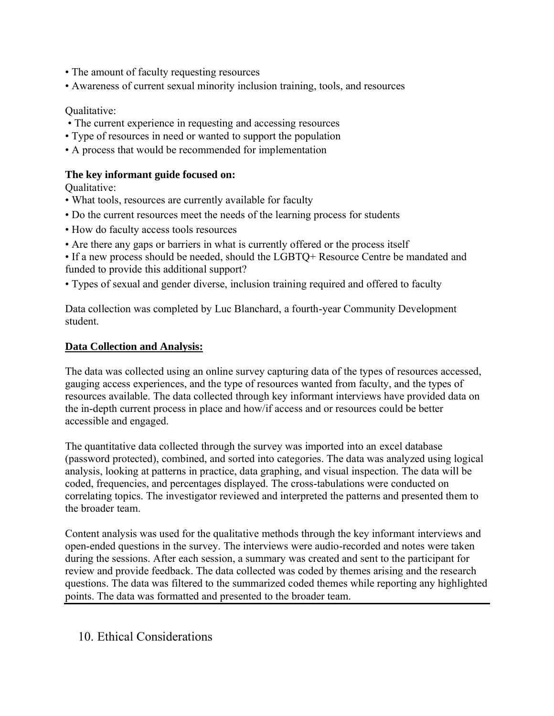- The amount of faculty requesting resources
- Awareness of current sexual minority inclusion training, tools, and resources

#### Qualitative:

- The current experience in requesting and accessing resources
- Type of resources in need or wanted to support the population
- A process that would be recommended for implementation

### **The key informant guide focused on:**

Qualitative:

- What tools, resources are currently available for faculty
- Do the current resources meet the needs of the learning process for students
- How do faculty access tools resources
- Are there any gaps or barriers in what is currently offered or the process itself
- If a new process should be needed, should the LGBTQ+ Resource Centre be mandated and funded to provide this additional support?
- Types of sexual and gender diverse, inclusion training required and offered to faculty

Data collection was completed by Luc Blanchard, a fourth-year Community Development student.

### **Data Collection and Analysis:**

The data was collected using an online survey capturing data of the types of resources accessed, gauging access experiences, and the type of resources wanted from faculty, and the types of resources available. The data collected through key informant interviews have provided data on the in-depth current process in place and how/if access and or resources could be better accessible and engaged.

The quantitative data collected through the survey was imported into an excel database (password protected), combined, and sorted into categories. The data was analyzed using logical analysis, looking at patterns in practice, data graphing, and visual inspection. The data will be coded, frequencies, and percentages displayed. The cross-tabulations were conducted on correlating topics. The investigator reviewed and interpreted the patterns and presented them to the broader team.

Content analysis was used for the qualitative methods through the key informant interviews and open-ended questions in the survey. The interviews were audio-recorded and notes were taken during the sessions. After each session, a summary was created and sent to the participant for review and provide feedback. The data collected was coded by themes arising and the research questions. The data was filtered to the summarized coded themes while reporting any highlighted points. The data was formatted and presented to the broader team.

## 10. Ethical Considerations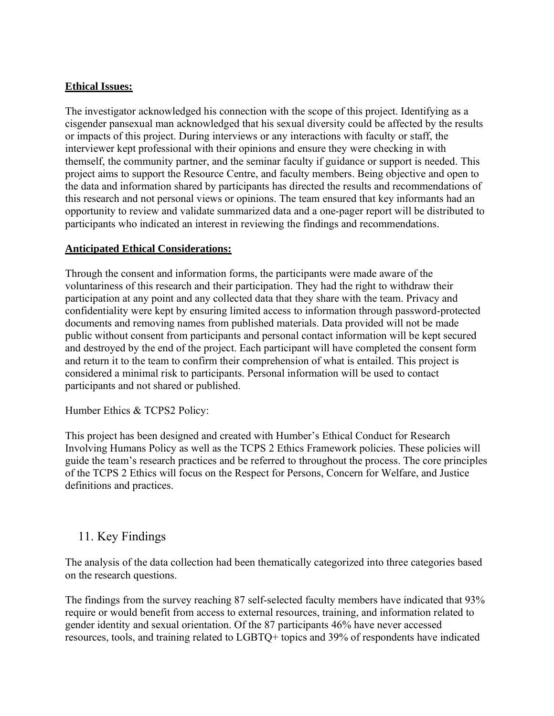### **Ethical Issues:**

The investigator acknowledged his connection with the scope of this project. Identifying as a cisgender pansexual man acknowledged that his sexual diversity could be affected by the results or impacts of this project. During interviews or any interactions with faculty or staff, the interviewer kept professional with their opinions and ensure they were checking in with themself, the community partner, and the seminar faculty if guidance or support is needed. This project aims to support the Resource Centre, and faculty members. Being objective and open to the data and information shared by participants has directed the results and recommendations of this research and not personal views or opinions. The team ensured that key informants had an opportunity to review and validate summarized data and a one-pager report will be distributed to participants who indicated an interest in reviewing the findings and recommendations.

#### **Anticipated Ethical Considerations:**

Through the consent and information forms, the participants were made aware of the voluntariness of this research and their participation. They had the right to withdraw their participation at any point and any collected data that they share with the team. Privacy and confidentiality were kept by ensuring limited access to information through password-protected documents and removing names from published materials. Data provided will not be made public without consent from participants and personal contact information will be kept secured and destroyed by the end of the project. Each participant will have completed the consent form and return it to the team to confirm their comprehension of what is entailed. This project is considered a minimal risk to participants. Personal information will be used to contact participants and not shared or published.

Humber Ethics & TCPS2 Policy:

This project has been designed and created with Humber's Ethical Conduct for Research Involving Humans Policy as well as the TCPS 2 Ethics Framework policies. These policies will guide the team's research practices and be referred to throughout the process. The core principles of the TCPS 2 Ethics will focus on the Respect for Persons, Concern for Welfare, and Justice definitions and practices.

## 11. Key Findings

The analysis of the data collection had been thematically categorized into three categories based on the research questions.

The findings from the survey reaching 87 self-selected faculty members have indicated that 93% require or would benefit from access to external resources, training, and information related to gender identity and sexual orientation. Of the 87 participants 46% have never accessed resources, tools, and training related to LGBTQ+ topics and 39% of respondents have indicated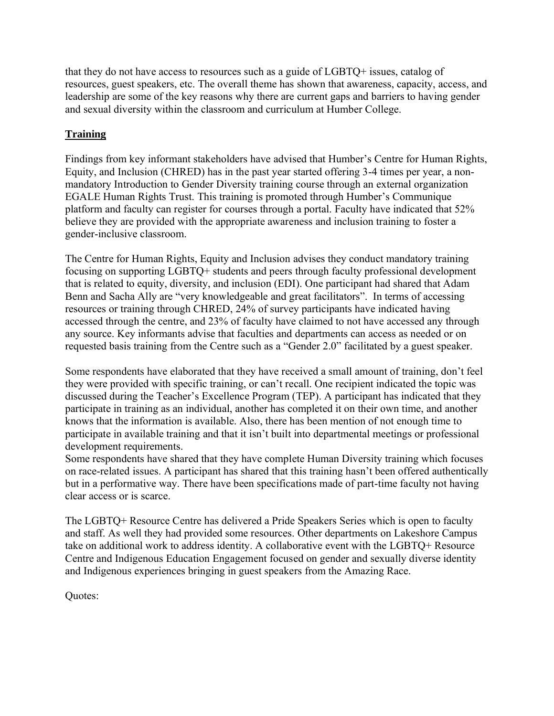that they do not have access to resources such as a guide of LGBTQ+ issues, catalog of resources, guest speakers, etc. The overall theme has shown that awareness, capacity, access, and leadership are some of the key reasons why there are current gaps and barriers to having gender and sexual diversity within the classroom and curriculum at Humber College.

## **Training**

Findings from key informant stakeholders have advised that Humber's Centre for Human Rights, Equity, and Inclusion (CHRED) has in the past year started offering 3-4 times per year, a nonmandatory Introduction to Gender Diversity training course through an external organization EGALE Human Rights Trust. This training is promoted through Humber's Communique platform and faculty can register for courses through a portal. Faculty have indicated that 52% believe they are provided with the appropriate awareness and inclusion training to foster a gender-inclusive classroom.

The Centre for Human Rights, Equity and Inclusion advises they conduct mandatory training focusing on supporting LGBTQ+ students and peers through faculty professional development that is related to equity, diversity, and inclusion (EDI). One participant had shared that Adam Benn and Sacha Ally are "very knowledgeable and great facilitators". In terms of accessing resources or training through CHRED, 24% of survey participants have indicated having accessed through the centre, and 23% of faculty have claimed to not have accessed any through any source. Key informants advise that faculties and departments can access as needed or on requested basis training from the Centre such as a "Gender 2.0" facilitated by a guest speaker.

Some respondents have elaborated that they have received a small amount of training, don't feel they were provided with specific training, or can't recall. One recipient indicated the topic was discussed during the Teacher's Excellence Program (TEP). A participant has indicated that they participate in training as an individual, another has completed it on their own time, and another knows that the information is available. Also, there has been mention of not enough time to participate in available training and that it isn't built into departmental meetings or professional development requirements.

Some respondents have shared that they have complete Human Diversity training which focuses on race-related issues. A participant has shared that this training hasn't been offered authentically but in a performative way. There have been specifications made of part-time faculty not having clear access or is scarce.

The LGBTQ+ Resource Centre has delivered a Pride Speakers Series which is open to faculty and staff. As well they had provided some resources. Other departments on Lakeshore Campus take on additional work to address identity. A collaborative event with the LGBTQ+ Resource Centre and Indigenous Education Engagement focused on gender and sexually diverse identity and Indigenous experiences bringing in guest speakers from the Amazing Race.

Quotes: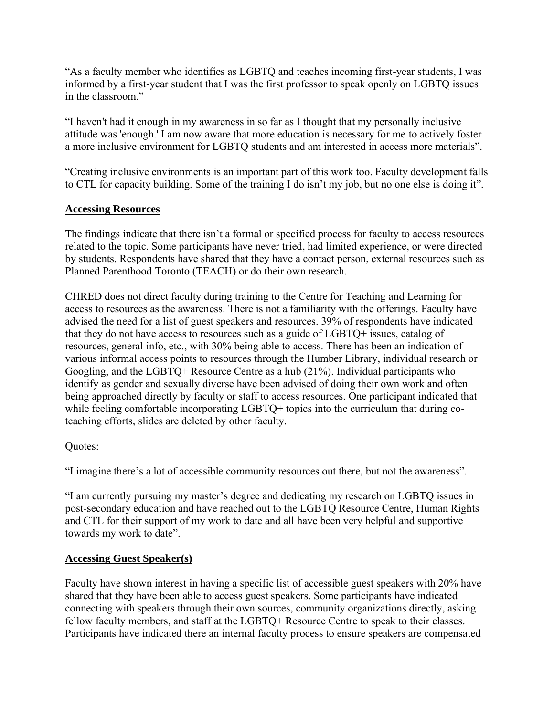"As a faculty member who identifies as LGBTQ and teaches incoming first-year students, I was informed by a first-year student that I was the first professor to speak openly on LGBTQ issues in the classroom."

"I haven't had it enough in my awareness in so far as I thought that my personally inclusive attitude was 'enough.' I am now aware that more education is necessary for me to actively foster a more inclusive environment for LGBTQ students and am interested in access more materials".

"Creating inclusive environments is an important part of this work too. Faculty development falls to CTL for capacity building. Some of the training I do isn't my job, but no one else is doing it".

#### **Accessing Resources**

The findings indicate that there isn't a formal or specified process for faculty to access resources related to the topic. Some participants have never tried, had limited experience, or were directed by students. Respondents have shared that they have a contact person, external resources such as Planned Parenthood Toronto (TEACH) or do their own research.

CHRED does not direct faculty during training to the Centre for Teaching and Learning for access to resources as the awareness. There is not a familiarity with the offerings. Faculty have advised the need for a list of guest speakers and resources. 39% of respondents have indicated that they do not have access to resources such as a guide of LGBTQ+ issues, catalog of resources, general info, etc., with 30% being able to access. There has been an indication of various informal access points to resources through the Humber Library, individual research or Googling, and the LGBTQ+ Resource Centre as a hub (21%). Individual participants who identify as gender and sexually diverse have been advised of doing their own work and often being approached directly by faculty or staff to access resources. One participant indicated that while feeling comfortable incorporating LGBTQ+ topics into the curriculum that during coteaching efforts, slides are deleted by other faculty.

#### Quotes:

"I imagine there's a lot of accessible community resources out there, but not the awareness".

"I am currently pursuing my master's degree and dedicating my research on LGBTQ issues in post-secondary education and have reached out to the LGBTQ Resource Centre, Human Rights and CTL for their support of my work to date and all have been very helpful and supportive towards my work to date".

#### **Accessing Guest Speaker(s)**

Faculty have shown interest in having a specific list of accessible guest speakers with 20% have shared that they have been able to access guest speakers. Some participants have indicated connecting with speakers through their own sources, community organizations directly, asking fellow faculty members, and staff at the LGBTQ+ Resource Centre to speak to their classes. Participants have indicated there an internal faculty process to ensure speakers are compensated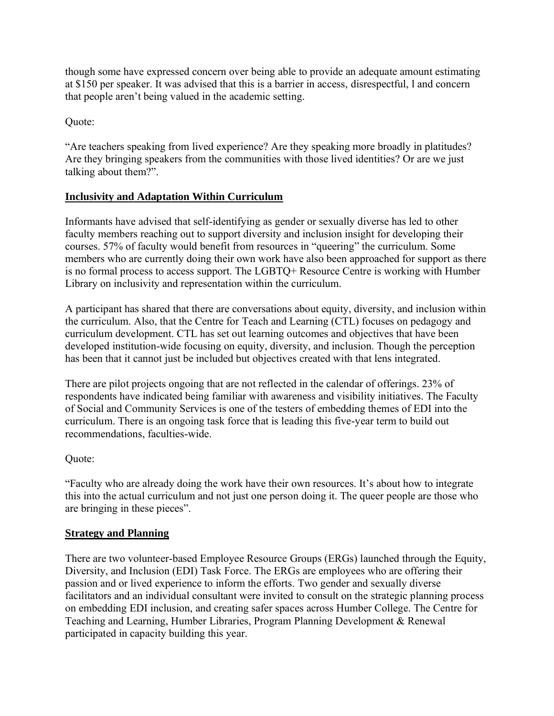though some have expressed concern over being able to provide an adequate amount estimating at \$150 per speaker. It was advised that this is a barrier in access, disrespectful, l and concern that people aren't being valued in the academic setting.

Quote:

"Are teachers speaking from lived experience? Are they speaking more broadly in platitudes? Are they bringing speakers from the communities with those lived identities? Or are we just talking about them?".

### **Inclusivity and Adaptation Within Curriculum**

Informants have advised that self-identifying as gender or sexually diverse has led to other faculty members reaching out to support diversity and inclusion insight for developing their courses. 57% of faculty would benefit from resources in "queering" the curriculum. Some members who are currently doing their own work have also been approached for support as there is no formal process to access support. The LGBTQ+ Resource Centre is working with Humber Library on inclusivity and representation within the curriculum.

A participant has shared that there are conversations about equity, diversity, and inclusion within the curriculum. Also, that the Centre for Teach and Learning (CTL) focuses on pedagogy and curriculum development. CTL has set out learning outcomes and objectives that have been developed institution-wide focusing on equity, diversity, and inclusion. Though the perception has been that it cannot just be included but objectives created with that lens integrated.

There are pilot projects ongoing that are not reflected in the calendar of offerings. 23% of respondents have indicated being familiar with awareness and visibility initiatives. The Faculty of Social and Community Services is one of the testers of embedding themes of EDI into the curriculum. There is an ongoing task force that is leading this five-year term to build out recommendations, faculties-wide.

#### Quote:

"Faculty who are already doing the work have their own resources. It's about how to integrate this into the actual curriculum and not just one person doing it. The queer people are those who are bringing in these pieces".

#### **Strategy and Planning**

There are two volunteer-based Employee Resource Groups (ERGs) launched through the Equity, Diversity, and Inclusion (EDI) Task Force. The ERGs are employees who are offering their passion and or lived experience to inform the efforts. Two gender and sexually diverse facilitators and an individual consultant were invited to consult on the strategic planning process on embedding EDI inclusion, and creating safer spaces across Humber College. The Centre for Teaching and Learning, Humber Libraries, Program Planning Development & Renewal participated in capacity building this year.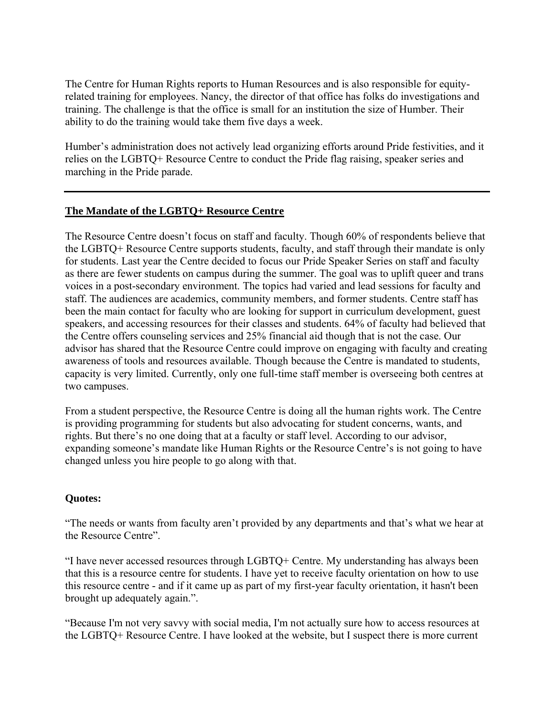The Centre for Human Rights reports to Human Resources and is also responsible for equityrelated training for employees. Nancy, the director of that office has folks do investigations and training. The challenge is that the office is small for an institution the size of Humber. Their ability to do the training would take them five days a week.

Humber's administration does not actively lead organizing efforts around Pride festivities, and it relies on the LGBTQ+ Resource Centre to conduct the Pride flag raising, speaker series and marching in the Pride parade.

#### **The Mandate of the LGBTQ+ Resource Centre**

The Resource Centre doesn't focus on staff and faculty. Though 60% of respondents believe that the LGBTQ+ Resource Centre supports students, faculty, and staff through their mandate is only for students. Last year the Centre decided to focus our Pride Speaker Series on staff and faculty as there are fewer students on campus during the summer. The goal was to uplift queer and trans voices in a post-secondary environment. The topics had varied and lead sessions for faculty and staff. The audiences are academics, community members, and former students. Centre staff has been the main contact for faculty who are looking for support in curriculum development, guest speakers, and accessing resources for their classes and students. 64% of faculty had believed that the Centre offers counseling services and 25% financial aid though that is not the case. Our advisor has shared that the Resource Centre could improve on engaging with faculty and creating awareness of tools and resources available. Though because the Centre is mandated to students, capacity is very limited. Currently, only one full-time staff member is overseeing both centres at two campuses.

From a student perspective, the Resource Centre is doing all the human rights work. The Centre is providing programming for students but also advocating for student concerns, wants, and rights. But there's no one doing that at a faculty or staff level. According to our advisor, expanding someone's mandate like Human Rights or the Resource Centre's is not going to have changed unless you hire people to go along with that.

#### **Quotes:**

"The needs or wants from faculty aren't provided by any departments and that's what we hear at the Resource Centre".

"I have never accessed resources through LGBTQ+ Centre. My understanding has always been that this is a resource centre for students. I have yet to receive faculty orientation on how to use this resource centre - and if it came up as part of my first-year faculty orientation, it hasn't been brought up adequately again.".

"Because I'm not very savvy with social media, I'm not actually sure how to access resources at the LGBTQ+ Resource Centre. I have looked at the website, but I suspect there is more current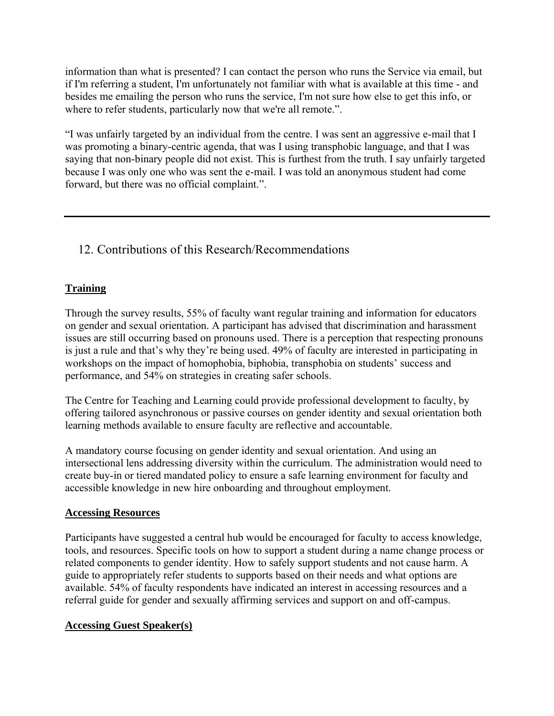information than what is presented? I can contact the person who runs the Service via email, but if I'm referring a student, I'm unfortunately not familiar with what is available at this time - and besides me emailing the person who runs the service, I'm not sure how else to get this info, or where to refer students, particularly now that we're all remote.".

"I was unfairly targeted by an individual from the centre. I was sent an aggressive e-mail that I was promoting a binary-centric agenda, that was I using transphobic language, and that I was saying that non-binary people did not exist. This is furthest from the truth. I say unfairly targeted because I was only one who was sent the e-mail. I was told an anonymous student had come forward, but there was no official complaint.".

## 12. Contributions of this Research/Recommendations

#### **Training**

Through the survey results, 55% of faculty want regular training and information for educators on gender and sexual orientation. A participant has advised that discrimination and harassment issues are still occurring based on pronouns used. There is a perception that respecting pronouns is just a rule and that's why they're being used. 49% of faculty are interested in participating in workshops on the impact of homophobia, biphobia, transphobia on students' success and performance, and 54% on strategies in creating safer schools.

The Centre for Teaching and Learning could provide professional development to faculty, by offering tailored asynchronous or passive courses on gender identity and sexual orientation both learning methods available to ensure faculty are reflective and accountable.

A mandatory course focusing on gender identity and sexual orientation. And using an intersectional lens addressing diversity within the curriculum. The administration would need to create buy-in or tiered mandated policy to ensure a safe learning environment for faculty and accessible knowledge in new hire onboarding and throughout employment.

#### **Accessing Resources**

Participants have suggested a central hub would be encouraged for faculty to access knowledge, tools, and resources. Specific tools on how to support a student during a name change process or related components to gender identity. How to safely support students and not cause harm. A guide to appropriately refer students to supports based on their needs and what options are available. 54% of faculty respondents have indicated an interest in accessing resources and a referral guide for gender and sexually affirming services and support on and off-campus.

#### **Accessing Guest Speaker(s)**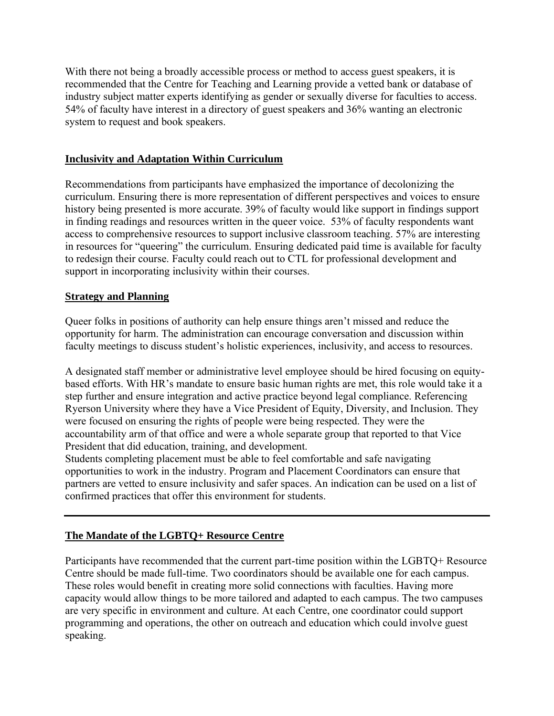With there not being a broadly accessible process or method to access guest speakers, it is recommended that the Centre for Teaching and Learning provide a vetted bank or database of industry subject matter experts identifying as gender or sexually diverse for faculties to access. 54% of faculty have interest in a directory of guest speakers and 36% wanting an electronic system to request and book speakers.

### **Inclusivity and Adaptation Within Curriculum**

Recommendations from participants have emphasized the importance of decolonizing the curriculum. Ensuring there is more representation of different perspectives and voices to ensure history being presented is more accurate. 39% of faculty would like support in findings support in finding readings and resources written in the queer voice. 53% of faculty respondents want access to comprehensive resources to support inclusive classroom teaching. 57% are interesting in resources for "queering" the curriculum. Ensuring dedicated paid time is available for faculty to redesign their course. Faculty could reach out to CTL for professional development and support in incorporating inclusivity within their courses.

#### **Strategy and Planning**

Queer folks in positions of authority can help ensure things aren't missed and reduce the opportunity for harm. The administration can encourage conversation and discussion within faculty meetings to discuss student's holistic experiences, inclusivity, and access to resources.

A designated staff member or administrative level employee should be hired focusing on equitybased efforts. With HR's mandate to ensure basic human rights are met, this role would take it a step further and ensure integration and active practice beyond legal compliance. Referencing Ryerson University where they have a Vice President of Equity, Diversity, and Inclusion. They were focused on ensuring the rights of people were being respected. They were the accountability arm of that office and were a whole separate group that reported to that Vice President that did education, training, and development.

Students completing placement must be able to feel comfortable and safe navigating opportunities to work in the industry. Program and Placement Coordinators can ensure that partners are vetted to ensure inclusivity and safer spaces. An indication can be used on a list of confirmed practices that offer this environment for students.

#### **The Mandate of the LGBTQ+ Resource Centre**

Participants have recommended that the current part-time position within the LGBTQ+ Resource Centre should be made full-time. Two coordinators should be available one for each campus. These roles would benefit in creating more solid connections with faculties. Having more capacity would allow things to be more tailored and adapted to each campus. The two campuses are very specific in environment and culture. At each Centre, one coordinator could support programming and operations, the other on outreach and education which could involve guest speaking.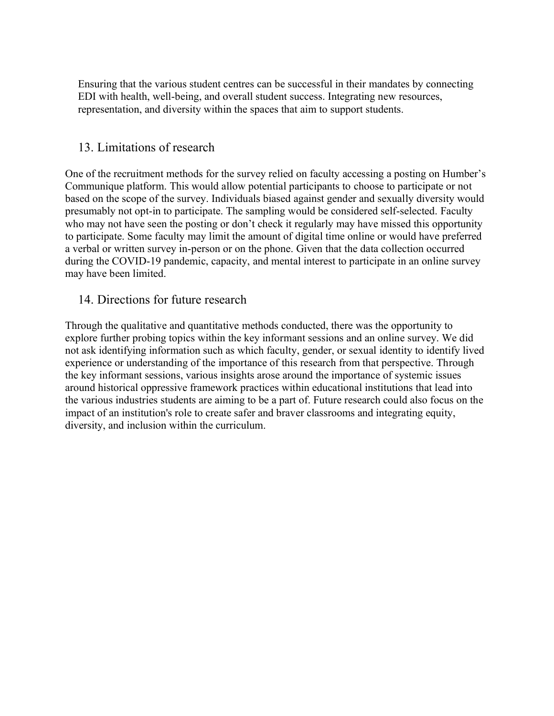Ensuring that the various student centres can be successful in their mandates by connecting EDI with health, well-being, and overall student success. Integrating new resources, representation, and diversity within the spaces that aim to support students.

## 13. Limitations of research

One of the recruitment methods for the survey relied on faculty accessing a posting on Humber's Communique platform. This would allow potential participants to choose to participate or not based on the scope of the survey. Individuals biased against gender and sexually diversity would presumably not opt-in to participate. The sampling would be considered self-selected. Faculty who may not have seen the posting or don't check it regularly may have missed this opportunity to participate. Some faculty may limit the amount of digital time online or would have preferred a verbal or written survey in-person or on the phone. Given that the data collection occurred during the COVID-19 pandemic, capacity, and mental interest to participate in an online survey may have been limited.

## 14. Directions for future research

Through the qualitative and quantitative methods conducted, there was the opportunity to explore further probing topics within the key informant sessions and an online survey. We did not ask identifying information such as which faculty, gender, or sexual identity to identify lived experience or understanding of the importance of this research from that perspective. Through the key informant sessions, various insights arose around the importance of systemic issues around historical oppressive framework practices within educational institutions that lead into the various industries students are aiming to be a part of. Future research could also focus on the impact of an institution's role to create safer and braver classrooms and integrating equity, diversity, and inclusion within the curriculum.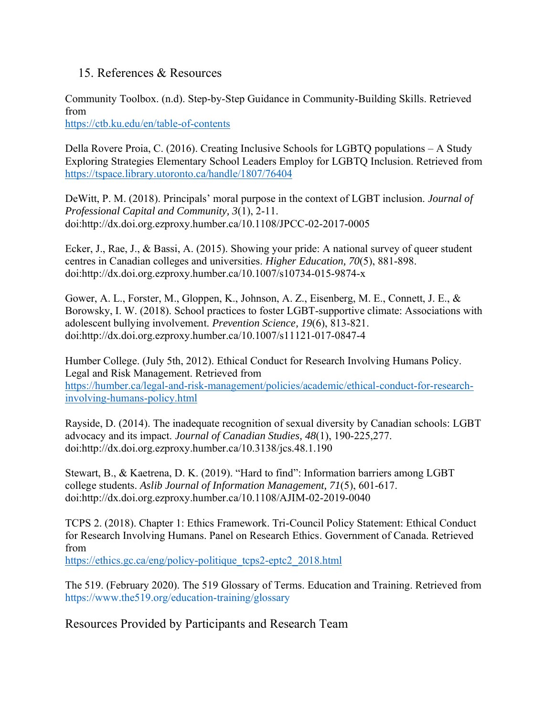### 15. References & Resources

Community Toolbox. (n.d). Step-by-Step Guidance in Community-Building Skills. Retrieved from

<https://ctb.ku.edu/en/table-of-contents>

Della Rovere Proia, C. (2016). Creating Inclusive Schools for LGBTQ populations – A Study Exploring Strategies Elementary School Leaders Employ for LGBTQ Inclusion. Retrieved from <https://tspace.library.utoronto.ca/handle/1807/76404>

DeWitt, P. M. (2018). Principals' moral purpose in the context of LGBT inclusion. *Journal of Professional Capital and Community, 3*(1), 2-11. doi:http://dx.doi.org.ezproxy.humber.ca/10.1108/JPCC-02-2017-0005

Ecker, J., Rae, J., & Bassi, A. (2015). Showing your pride: A national survey of queer student centres in Canadian colleges and universities. *Higher Education, 70*(5), 881-898. doi:http://dx.doi.org.ezproxy.humber.ca/10.1007/s10734-015-9874-x

Gower, A. L., Forster, M., Gloppen, K., Johnson, A. Z., Eisenberg, M. E., Connett, J. E., & Borowsky, I. W. (2018). School practices to foster LGBT-supportive climate: Associations with adolescent bullying involvement. *Prevention Science, 19*(6), 813-821. doi:http://dx.doi.org.ezproxy.humber.ca/10.1007/s11121-017-0847-4

Humber College. (July 5th, 2012). Ethical Conduct for Research Involving Humans Policy. Legal and Risk Management. Retrieved from [https://humber.ca/legal-and-risk-management/policies/academic/ethical-conduct-for-research](https://humber.ca/legal-and-risk-management/policies/academic/ethical-conduct-for-research-involving-humans-policy.html)[involving-humans-policy.html](https://humber.ca/legal-and-risk-management/policies/academic/ethical-conduct-for-research-involving-humans-policy.html)

Rayside, D. (2014). The inadequate recognition of sexual diversity by Canadian schools: LGBT advocacy and its impact. *Journal of Canadian Studies, 48*(1), 190-225,277. doi:http://dx.doi.org.ezproxy.humber.ca/10.3138/jcs.48.1.190

Stewart, B., & Kaetrena, D. K. (2019). "Hard to find": Information barriers among LGBT college students. *Aslib Journal of Information Management, 71*(5), 601-617. doi:http://dx.doi.org.ezproxy.humber.ca/10.1108/AJIM-02-2019-0040

TCPS 2. (2018). Chapter 1: Ethics Framework. Tri-Council Policy Statement: Ethical Conduct for Research Involving Humans. Panel on Research Ethics. Government of Canada. Retrieved from

[https://ethics.gc.ca/eng/policy-politique\\_tcps2-eptc2\\_2018.html](https://ethics.gc.ca/eng/policy-politique_tcps2-eptc2_2018.html)

The 519. (February 2020). The 519 Glossary of Terms. Education and Training. Retrieved from https://www.the519.org/education-training/glossary

Resources Provided by Participants and Research Team